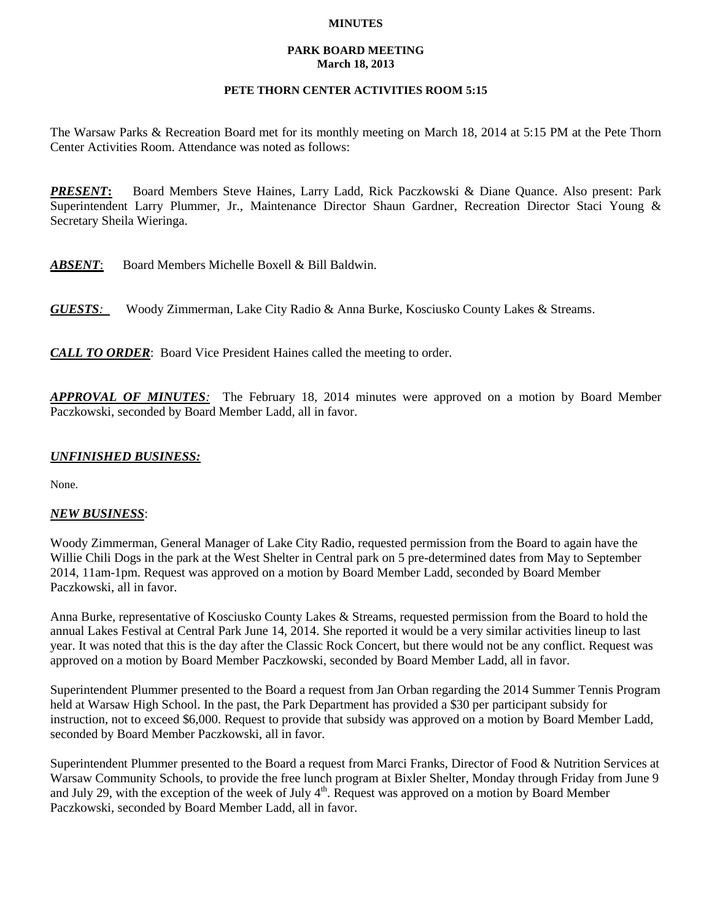#### **MINUTES**

#### **PARK BOARD MEETING March 18, 2013**

## **PETE THORN CENTER ACTIVITIES ROOM 5:15**

The Warsaw Parks & Recreation Board met for its monthly meeting on March 18, 2014 at 5:15 PM at the Pete Thorn Center Activities Room. Attendance was noted as follows:

*PRESENT***:** Board Members Steve Haines, Larry Ladd, Rick Paczkowski & Diane Quance. Also present: Park Superintendent Larry Plummer, Jr., Maintenance Director Shaun Gardner, Recreation Director Staci Young & Secretary Sheila Wieringa.

*ABSENT*: Board Members Michelle Boxell & Bill Baldwin.

*GUESTS:*Woody Zimmerman, Lake City Radio & Anna Burke, Kosciusko County Lakes & Streams.

*CALL TO ORDER*: Board Vice President Haines called the meeting to order.

*APPROVAL OF MINUTES:* The February 18, 2014 minutes were approved on a motion by Board Member Paczkowski, seconded by Board Member Ladd, all in favor.

# *UNFINISHED BUSINESS:*

None.

### *NEW BUSINESS*:

Woody Zimmerman, General Manager of Lake City Radio, requested permission from the Board to again have the Willie Chili Dogs in the park at the West Shelter in Central park on 5 pre-determined dates from May to September 2014, 11am-1pm. Request was approved on a motion by Board Member Ladd, seconded by Board Member Paczkowski, all in favor.

Anna Burke, representative of Kosciusko County Lakes & Streams, requested permission from the Board to hold the annual Lakes Festival at Central Park June 14, 2014. She reported it would be a very similar activities lineup to last year. It was noted that this is the day after the Classic Rock Concert, but there would not be any conflict. Request was approved on a motion by Board Member Paczkowski, seconded by Board Member Ladd, all in favor.

Superintendent Plummer presented to the Board a request from Jan Orban regarding the 2014 Summer Tennis Program held at Warsaw High School. In the past, the Park Department has provided a \$30 per participant subsidy for instruction, not to exceed \$6,000. Request to provide that subsidy was approved on a motion by Board Member Ladd, seconded by Board Member Paczkowski, all in favor.

Superintendent Plummer presented to the Board a request from Marci Franks, Director of Food & Nutrition Services at Warsaw Community Schools, to provide the free lunch program at Bixler Shelter, Monday through Friday from June 9 and July 29, with the exception of the week of July  $4<sup>th</sup>$ . Request was approved on a motion by Board Member Paczkowski, seconded by Board Member Ladd, all in favor.